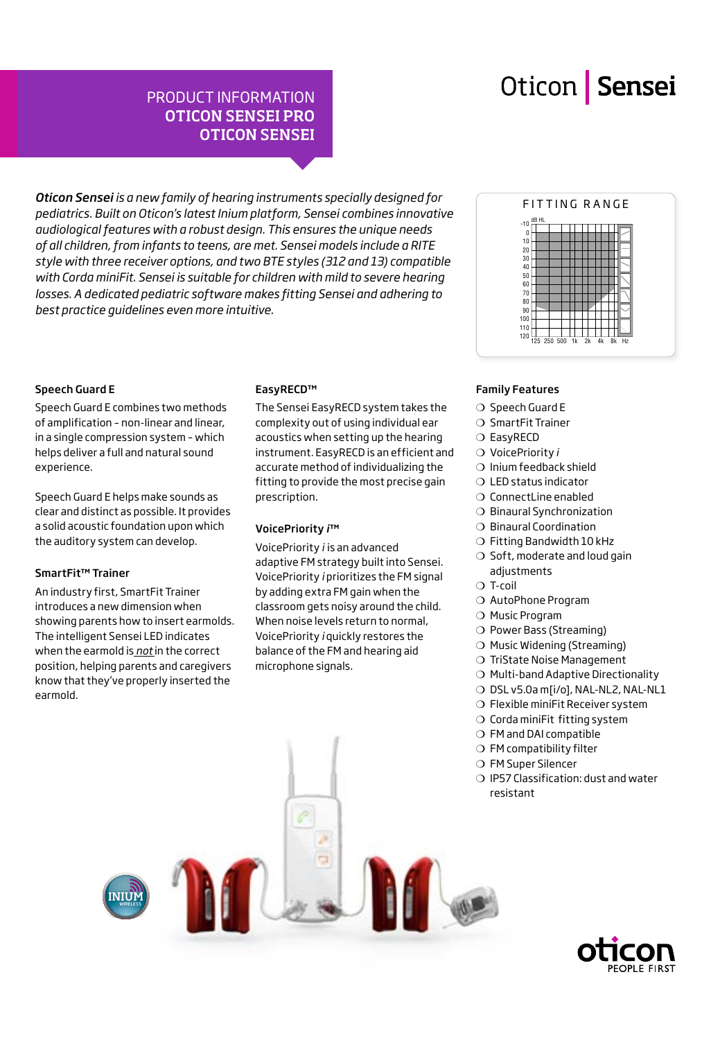## PRODUCT INFORMATION OTICON SENSEI PRO OTICON SENSEI

*Oticon Sensei is a new family of hearing instruments specially designed for pediatrics. Built on Oticon's latest Inium platform, Sensei combines innovative audiological features with a robust design. This ensures the unique needs of all children, from infants to teens, are met. Sensei models include a RITE style with three receiver options, and two BTE styles (312 and 13) compatible with Corda miniFit. Sensei is suitable for children with mild to severe hearing losses. A dedicated pediatric software makes fitting Sensei and adhering to best practice guidelines even more intuitive.*

#### 10 0 -10 20 30 ں<br>40 50 60 70 80  $0<sub>0</sub>$ 100 110 <sup>120</sup> <sup>125</sup> <sup>250</sup> <sup>500</sup> 1k 2k 4k 8k Hz dB HL FITTING RANGE

### Speech Guard E

Speech Guard E combines two methods of amplification – non-linear and linear, in a single compression system – which helps deliver a full and natural sound experience.

Speech Guard E helps make sounds as clear and distinct as possible. It provides a solid acoustic foundation upon which the auditory system can develop.

### SmartFit™ Trainer

An industry first, SmartFit Trainer introduces a new dimension when showing parents how to insert earmolds. The intelligent Sensei LED indicates when the earmold is *not* in the correct position, helping parents and caregivers know that they've properly inserted the earmold.

### EasyRECD™

The Sensei EasyRECD system takes the complexity out of using individual ear acoustics when setting up the hearing instrument. EasyRECD is an efficient and accurate method of individualizing the fitting to provide the most precise gain prescription.

### VoicePriority *i*™

VoicePriority *i* is an advanced adaptive FM strategy built into Sensei. VoicePriority *i* prioritizes the FM signal by adding extra FM gain when the classroom gets noisy around the child. When noise levels return to normal, VoicePriority *i* quickly restores the balance of the FM and hearing aid microphone signals.

### Family Features

- ❍ Speech Guard E
- ❍ SmartFit Trainer
- ❍ EasyRECD
- ❍ VoicePriority *i*
- ❍ Inium feedback shield
- ❍ LED status indicator
- ❍ ConnectLine enabled
- ❍ Binaural Synchronization
- ❍ Binaural Coordination
- ❍ Fitting Bandwidth 10 kHz ❍ Soft, moderate and loud gain adjustments
- ❍ T-coil
- ❍ AutoPhone Program
- ❍ Music Program
- ❍ Power Bass (Streaming)
- ❍ Music Widening (Streaming)
- ❍ TriState Noise Management
- ❍ Multi-band Adaptive Directionality
- O DSL v5.0a m[i/o], NAL-NL2, NAL-NL1
- ❍ Flexible miniFit Receiver system
- ❍ Corda miniFit fitting system
- ❍ FM and DAI compatible
- ❍ FM compatibility filter
- ❍ FM Super Silencer
- ❍ IP57 Classification: dust and water resistant



**INIUM**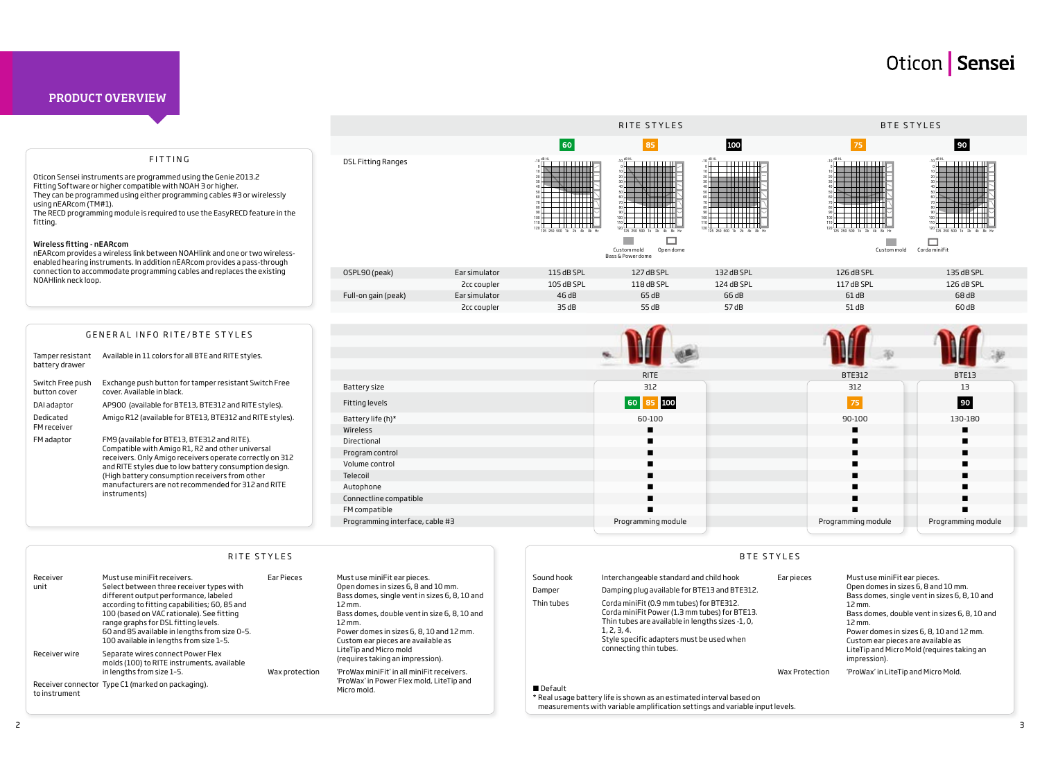Ear pieces Must use miniFit ear pieces. Open domes in sizes 6, 8 and 10 mm. Bass domes, single vent in sizes 6, 8, 10 and 12 mm. Bass domes, double vent in sizes 6, 8, 10 and 12 mm. Power domes in sizes 6, 8, 10 and 12 mm. Custom ear pieces are available as LiteTip and Micro Mold (requires taking an impression). Wax Protection 'ProWax' in LiteTip and Micro Mold.

| Receiver<br>unit                                                   | Must use miniFit receivers.<br>Select between three receiver types with<br>different output performance, labeled                                                                                                               | Ear Pieces     | Must use miniFit ear pieces.<br>Open domes in sizes 6, 8 and 10 mm.<br>Bass domes, single vent in sizes 6, 8, 10 and<br>$12 \,\mathrm{mm}$ .<br>Bass domes, double vent in size 6, 8, 10 and<br>$12 \,\mathrm{mm}$ .<br>Power domes in sizes 6, 8, 10 and 12 mm.<br>Custom ear pieces are available as | Sound hook<br>Damper                                                                                                                                              | Interchangeable standard and child hook<br>Damping plug available for BTE13 and BTE312.                                                                                                                                             | Ear pi |
|--------------------------------------------------------------------|--------------------------------------------------------------------------------------------------------------------------------------------------------------------------------------------------------------------------------|----------------|--------------------------------------------------------------------------------------------------------------------------------------------------------------------------------------------------------------------------------------------------------------------------------------------------------|-------------------------------------------------------------------------------------------------------------------------------------------------------------------|-------------------------------------------------------------------------------------------------------------------------------------------------------------------------------------------------------------------------------------|--------|
|                                                                    | according to fitting capabilities; 60, 85 and<br>100 (based on VAC rationale). See fitting<br>range graphs for DSL fitting levels.<br>60 and 85 available in lengths from size 0-5.<br>100 available in lengths from size 1-5. |                |                                                                                                                                                                                                                                                                                                        | Thin tubes                                                                                                                                                        | Corda miniFit (0.9 mm tubes) for BTE312.<br>Corda miniFit Power (1.3 mm tubes) for BTE13.<br>Thin tubes are available in lengths sizes -1, 0,<br>1, 2, 3, 4.<br>Style specific adapters must be used when<br>connecting thin tubes. |        |
| Receiver wire                                                      | Separate wires connect Power Flex<br>molds (100) to RITE instruments, available<br>in lengths from size 1-5.                                                                                                                   | Wax protection | LiteTip and Micro mold<br>(requires taking an impression).<br>'ProWax miniFit' in all miniFit receivers.                                                                                                                                                                                               |                                                                                                                                                                   |                                                                                                                                                                                                                                     | Wax F  |
| Receiver connector Type C1 (marked on packaging).<br>to instrument |                                                                                                                                                                                                                                |                | 'ProWax' in Power Flex mold, LiteTip and<br>Micro mold.                                                                                                                                                                                                                                                | ■ Default<br>* Real usage battery life is shown as an estimated interval based on<br>measurements with variable amplification settings and variable input levels. |                                                                                                                                                                                                                                     |        |



Tamper resistant Available in 11 colors for all BTE and RITE styles. battery drawer

|                           |               | 60                                               | 85                                                                                                                  | 100                                                              | 75                                                                                   | 90                                    |
|---------------------------|---------------|--------------------------------------------------|---------------------------------------------------------------------------------------------------------------------|------------------------------------------------------------------|--------------------------------------------------------------------------------------|---------------------------------------|
| <b>DSL Fitting Ranges</b> |               | $-10$ dB HL<br>100<br>125 250 500 1k 2k 4k 8k Hz | $-10$ dB HI<br>100<br>$110 +$<br>120<br>125 250 500 1k<br>4k 8k Hz<br>Custom mold<br>Open dome<br>Bass & Power dome | $-10 \frac{\text{dB H}}{\text{L}}$<br>125 250 500 1k 2k 4k 8k Hz | $-10 \frac{\text{dB HL}}{\text{cm}}$<br>125 250 500 1k 2k<br>4k 8k Hz<br>Custom mold | 125 250 500 1k 2k 4k<br>Corda miniFit |
| OSPL90 (peak)             | Ear simulator | 115 dB SPL                                       | 127 dB SPL                                                                                                          | 132 dB SPL                                                       | 126 dB SPL                                                                           | 135 dB SPL                            |
|                           | 2cc coupler   | 105 dB SPL                                       | 118 dB SPL                                                                                                          | 124 dB SPL                                                       | 117 dB SPL                                                                           | 126 dB SPL                            |
| Full-on gain (peak)       | Ear simulator | 46dB                                             | 65dB                                                                                                                | 66 dB                                                            | 61 dB                                                                                | 68 dB                                 |

| Switch Free push<br>button cover | Exchange push button for tamper resistant Switch Free<br>cover. Available in black.                                                                         |
|----------------------------------|-------------------------------------------------------------------------------------------------------------------------------------------------------------|
| DAI adaptor                      | AP900 (available for BTE13, BTE312 and RITE styles).                                                                                                        |
| Dedicated<br>FM receiver         | Amigo R12 (available for BTE13, BTE312 and RITE styles).                                                                                                    |
| FM adaptor                       | FM9 (available for BTE13, BTE312 and RITE).<br>Compatible with Amigo R1, R2 and other universal<br>receivers. Only Amigo receivers operate correctly on 312 |

and RITE styles due to low battery consumption design. (High battery consumption receivers from other manufacturers are not recommended for 312 and RITE instruments)

Oticon Sensei instruments are programmed using the Genie 2013.2 Fitting Software or higher compatible with NOAH 3 or higher. They can be programmed using either programming cables #3 or wirelessly

using nEARcom (TM#1). The RECD programming module is required to use the EasyRECD feature in the fitting.

#### Wireless fitting - nEARcom

nEARcom provides a wireless link between NOAHlink and one or two wirelessenabled hearing instruments. In addition nEARcom provides a pass-through connection to accommodate programming cables and replaces the existing NOAHlink neck loop.

### PRODUCT OVERVIEW

### FITTING

#### GENERAL INFO RITE/BTE STYLES

BTE STYLES





#### RITE STYLES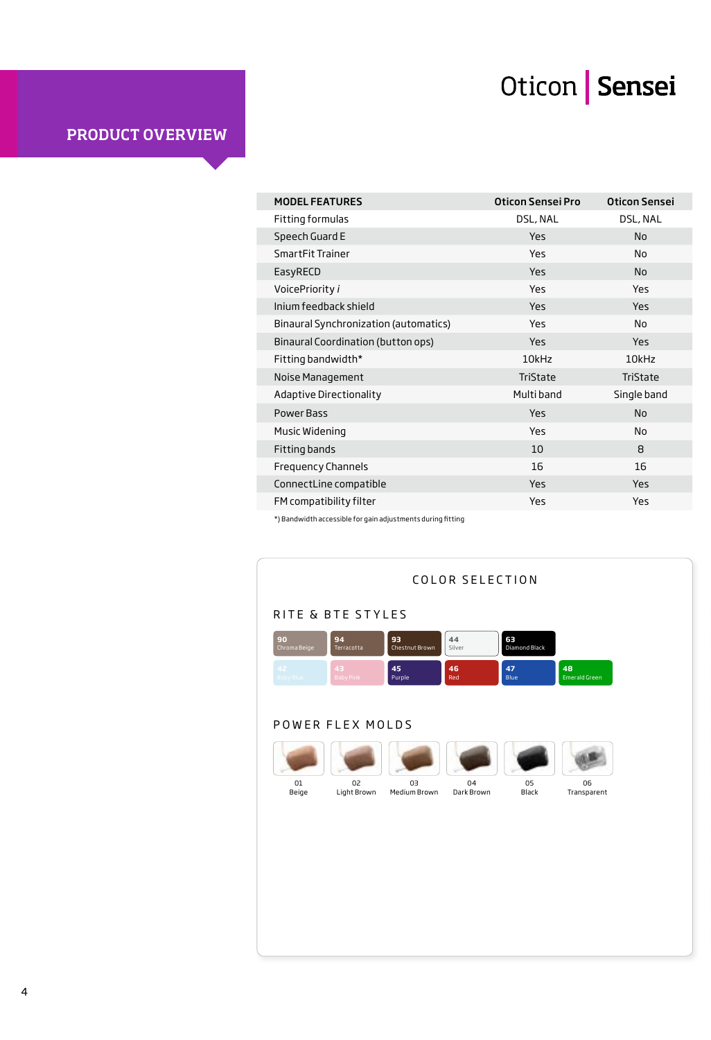| <b>MODEL FEATURES</b>                 | Oticon Sensei Pro | <b>Oticon Sensei</b> |
|---------------------------------------|-------------------|----------------------|
| Fitting formulas                      | DSL, NAL          | DSL, NAL             |
| Speech Guard E                        | Yes               | <b>No</b>            |
| SmartFit Trainer                      | Yes               | No                   |
| EasyRECD                              | Yes               | <b>No</b>            |
| VoicePriority i                       | Yes               | <b>Yes</b>           |
| Inium feedback shield                 | Yes               | <b>Yes</b>           |
| Binaural Synchronization (automatics) | <b>Yes</b>        | No                   |
| Binaural Coordination (button ops)    | <b>Yes</b>        | <b>Yes</b>           |
| Fitting bandwidth*                    | 10kHz             | 10kHz                |
| Noise Management                      | TriState          | TriState             |
| Adaptive Directionality               | Multi band        | Single band          |
| Power Bass                            | Yes               | <b>No</b>            |
| Music Widening                        | Yes               | <b>No</b>            |
| Fitting bands                         | 10                | 8                    |
| <b>Frequency Channels</b>             | 16                | 16                   |
| ConnectLine compatible                | <b>Yes</b>        | <b>Yes</b>           |
| FM compatibility filter               | Yes               | <b>Yes</b>           |
|                                       |                   |                      |

 $^*$ ) Bandwidth accessible for gain adjustments during fitting

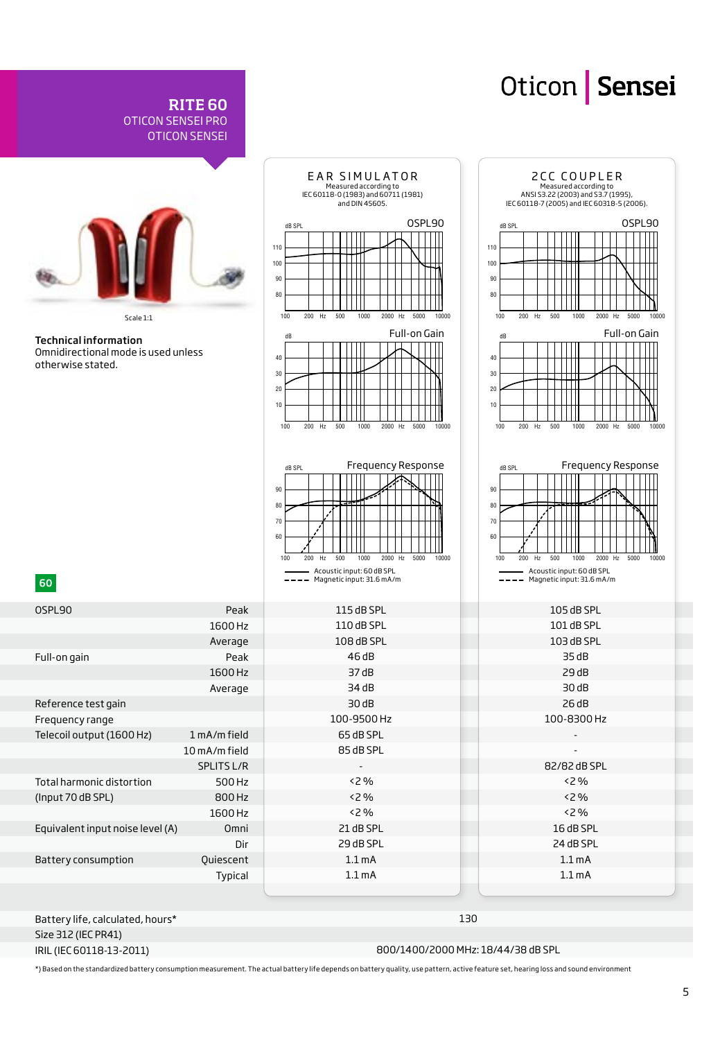

RITE 60

OTICON SENSEI PRO

IRIL (IEC 60118-13-2011)

800/1400/2000 MHz: 18/44/38 dB SPL

\*) Based on the standardized battery consumption measurement. The actual battery life depends on battery quality, use pattern, active feature set, hearing loss and sound environment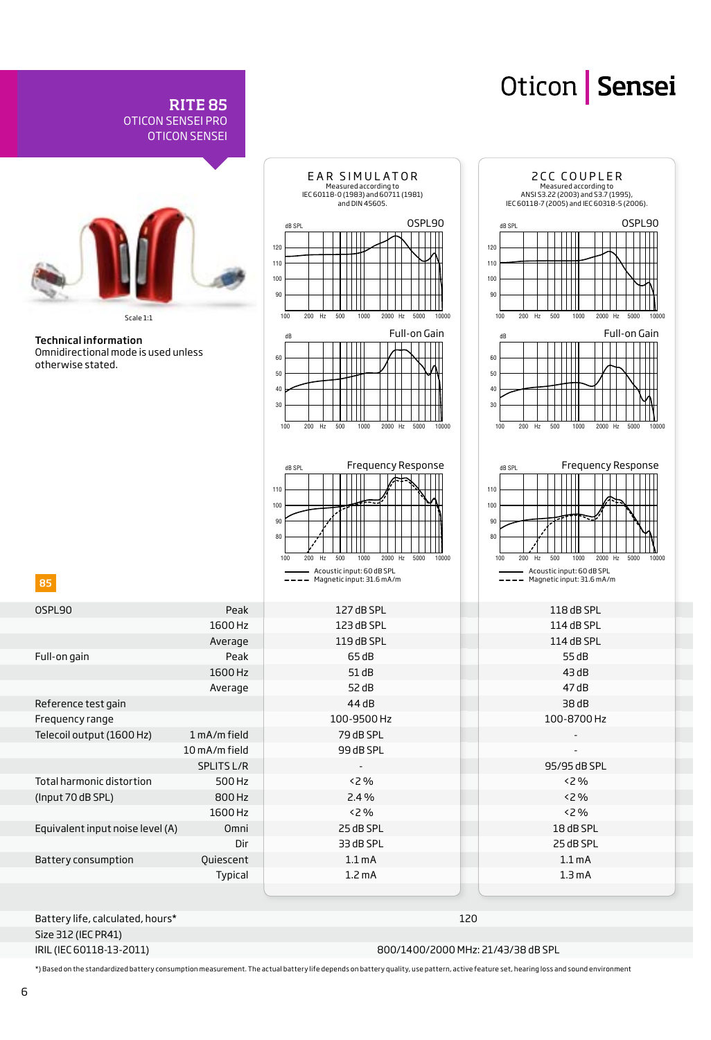

RITE 85

OTICON SENSEI PRO

Size 312 (IEC PR41) IRIL (IEC 60118-13-2011)

800/1400/2000 MHz: 21/43/38 dB SPL

\*) Based on the standardized battery consumption measurement. The actual battery life depends on battery quality, use pattern, active feature set, hearing loss and sound environment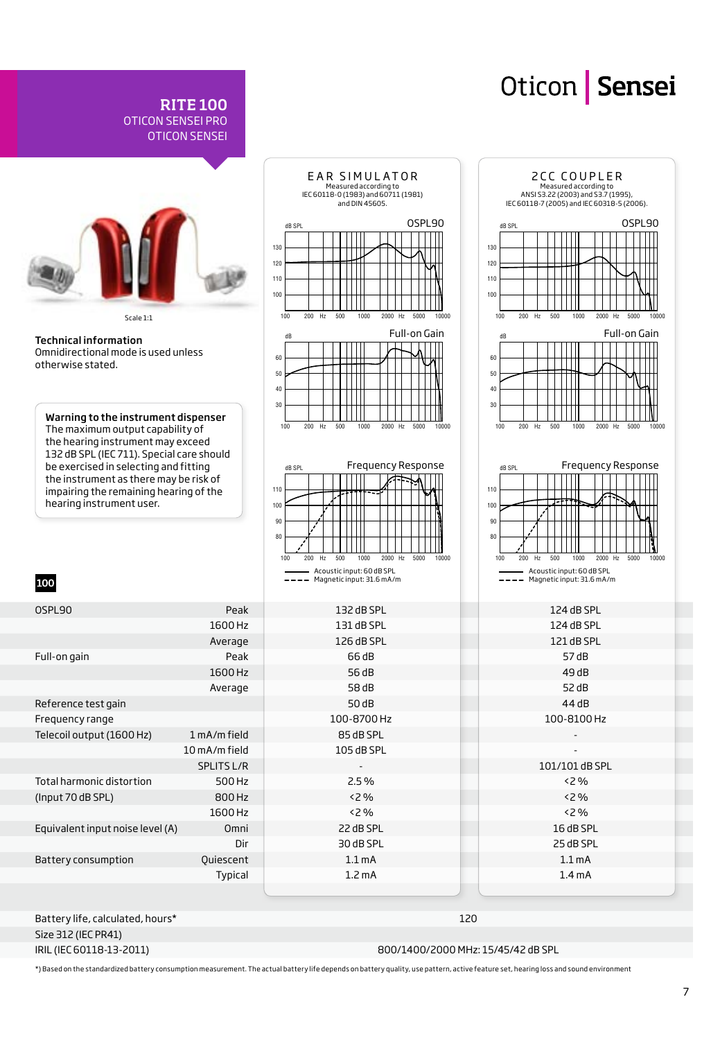

RITE 100 OTICON SENSEI PRO OTICON SENSEI

Battery life, calculated, hours\* Size 312 (IEC PR41) IRIL (IEC 60118-13-2011)

800/1400/2000 MHz: 15/45/42 dB SPL

\*) Based on the standardized battery consumption measurement. The actual battery life depends on battery quality, use pattern, active feature set, hearing loss and sound environment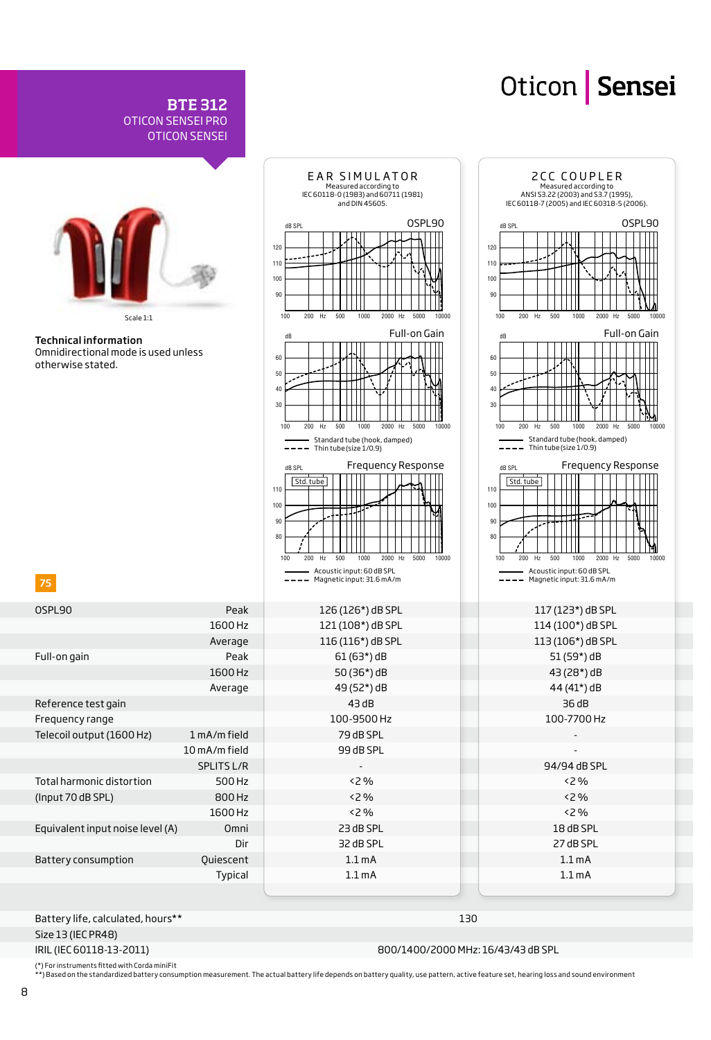

BTE 312

OTICON SENSEI PRO

Size 13 (IEC PR48)

IRIL (IEC 60118-13-2011)

800/1400/2000 MHz: 16/43/43 dB SPL

(\*) For instruments fitted with Corda miniFit<br>\*\*) Based on the standardized battery consumption measurement. The actual battery life depends on battery quality, use pattern, active feature set, hearing loss and sound envir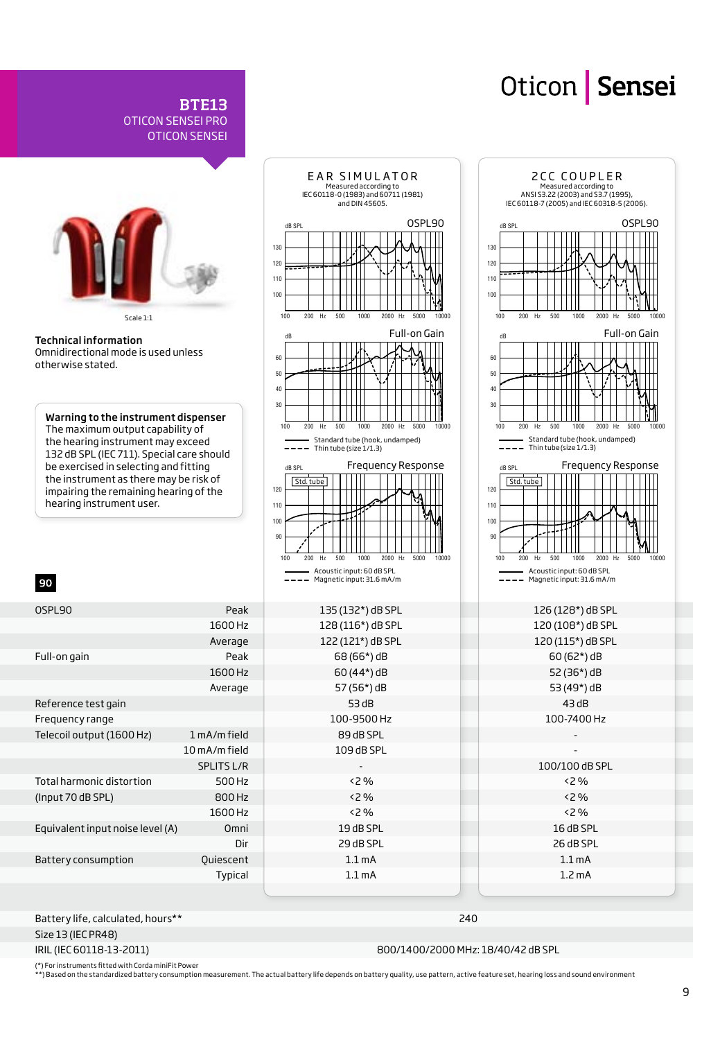

Battery life, calculated, hours\*\*

BTE13

OTICON SENSEI PRO OTICON SENSEI

Size 13 (IEC PR48) IRIL (IEC 60118-13-2011)

Frequency range

90

otherwise stated.

240 800/1400/2000 MHz: 18/40/42 dB SPL

(\*) For instruments fitted with Corda miniFit Power<br>\*\*) Based on the standardized battery consumption measurement. The actual battery life depends on battery quality, use pattern, active feature set, hearing loss and sound